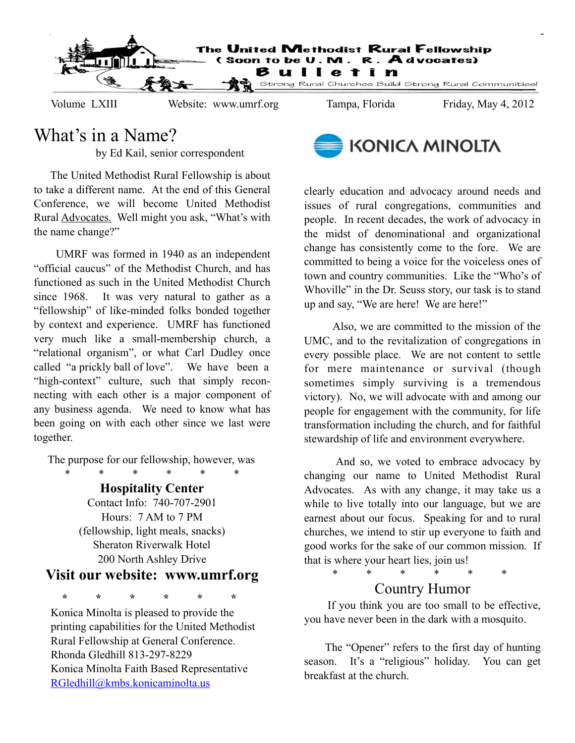

## What's in a Name?

by Ed Kail, senior correspondent

 The United Methodist Rural Fellowship is about to take a different name. At the end of this General Conference, we will become United Methodist Rural Advocates. Well might you ask, "What's with the name change?"

 UMRF was formed in 1940 as an independent "official caucus" of the Methodist Church, and has functioned as such in the United Methodist Church since 1968. It was very natural to gather as a "fellowship" of like-minded folks bonded together by context and experience. UMRF has functioned very much like a small-membership church, a "relational organism", or what Carl Dudley once called "a prickly ball of love". We have been a "high-context" culture, such that simply reconnecting with each other is a major component of any business agenda. We need to know what has been going on with each other since we last were together.

The purpose for our fellowship, however, was

 \* \* \* \* \* \* **Hospitality Center** Contact Info: 740-707-2901 Hours: 7 AM to 7 PM (fellowship, light meals, snacks) Sheraton Riverwalk Hotel 200 North Ashley Drive

## **Visit our website: www.umrf.org**

 **\* \* \* \* \* \***

Konica Minolta is pleased to provide the printing capabilities for the United Methodist Rural Fellowship at General Conference. Rhonda Gledhill 813-297-8229 Konica Minolta Faith Based Representative [RGledhill@kmbs.konicaminolta.us](mailto:RGledhill@kmbs.konicaminolta.us)



clearly education and advocacy around needs and issues of rural congregations, communities and people. In recent decades, the work of advocacy in the midst of denominational and organizational change has consistently come to the fore. We are committed to being a voice for the voiceless ones of town and country communities. Like the "Who's of Whoville" in the Dr. Seuss story, our task is to stand up and say, "We are here! We are here!"

 Also, we are committed to the mission of the UMC, and to the revitalization of congregations in every possible place. We are not content to settle for mere maintenance or survival (though sometimes simply surviving is a tremendous victory). No, we will advocate with and among our people for engagement with the community, for life transformation including the church, and for faithful stewardship of life and environment everywhere.

 And so, we voted to embrace advocacy by changing our name to United Methodist Rural Advocates. As with any change, it may take us a while to live totally into our language, but we are earnest about our focus. Speaking for and to rural churches, we intend to stir up everyone to faith and good works for the sake of our common mission. If that is where your heart lies, join us!

\* \* \* \* \* \*

## Country Humor

 If you think you are too small to be effective, you have never been in the dark with a mosquito.

 The "Opener" refers to the first day of hunting season. It's a "religious" holiday. You can get breakfast at the church.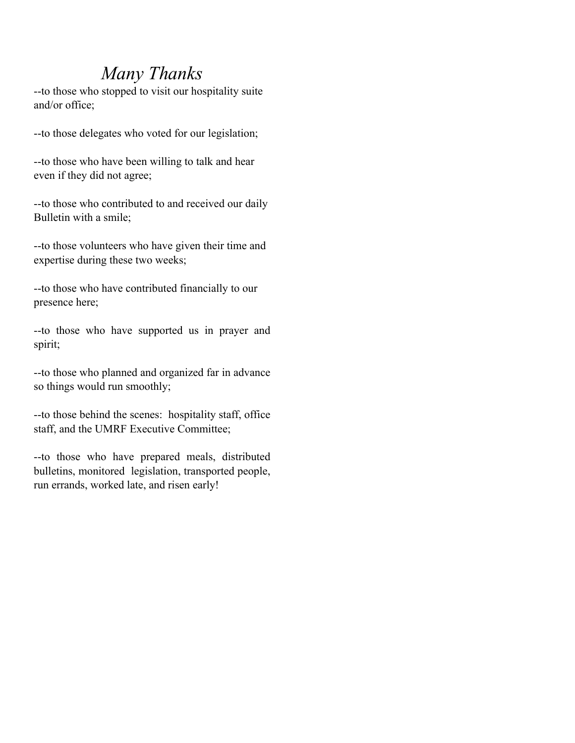## *Many Thanks*

--to those who stopped to visit our hospitality suite and/or office;

--to those delegates who voted for our legislation;

--to those who have been willing to talk and hear even if they did not agree;

--to those who contributed to and received our daily Bulletin with a smile;

--to those volunteers who have given their time and expertise during these two weeks;

--to those who have contributed financially to our presence here;

--to those who have supported us in prayer and spirit;

--to those who planned and organized far in advance so things would run smoothly;

--to those behind the scenes: hospitality staff, office staff, and the UMRF Executive Committee;

--to those who have prepared meals, distributed bulletins, monitored legislation, transported people, run errands, worked late, and risen early!